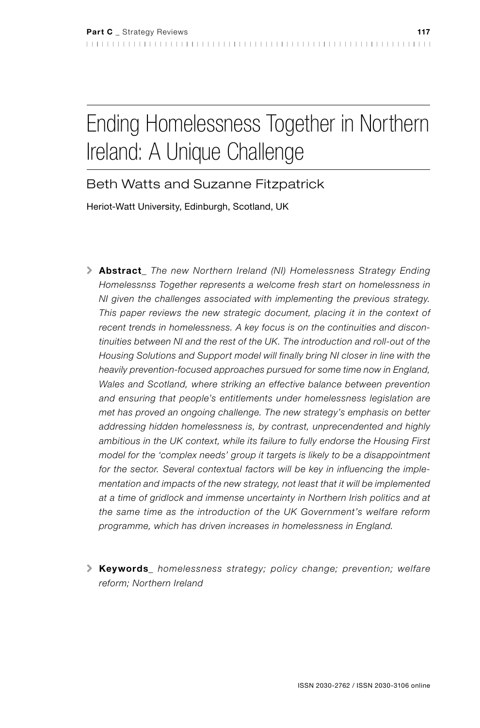# Ending Homelessness Together in Northern Ireland: A Unique Challenge

## Beth Watts and Suzanne Fitzpatrick

Heriot-Watt University, Edinburgh, Scotland, UK

- \ Abstract*\_ The new Northern Ireland (NI) Homelessness Strategy Ending Homelessnss Together represents a welcome fresh start on homelessness in NI given the challenges associated with implementing the previous strategy.*  This paper reviews the new strategic document, placing it in the context of *recent trends in homelessness. A key focus is on the continuities and discontinuities between NI and the rest of the UK. The introduction and roll-out of the Housing Solutions and Support model will finally bring NI closer in line with the heavily prevention-focused approaches pursued for some time now in England, Wales and Scotland, where striking an effective balance between prevention and ensuring that people's entitlements under homelessness legislation are met has proved an ongoing challenge. The new strategy's emphasis on better addressing hidden homelessness is, by contrast, unprecendented and highly ambitious in the UK context, while its failure to fully endorse the Housing First model for the 'complex needs' group it targets is likely to be a disappointment for the sector. Several contextual factors will be key in influencing the implementation and impacts of the new strategy, not least that it will be implemented at a time of gridlock and immense uncertainty in Northern Irish politics and at the same time as the introduction of the UK Government's welfare reform programme, which has driven increases in homelessness in England.*
- \ Keywords*\_ homelessness strategy; policy change; prevention; welfare reform; Northern Ireland*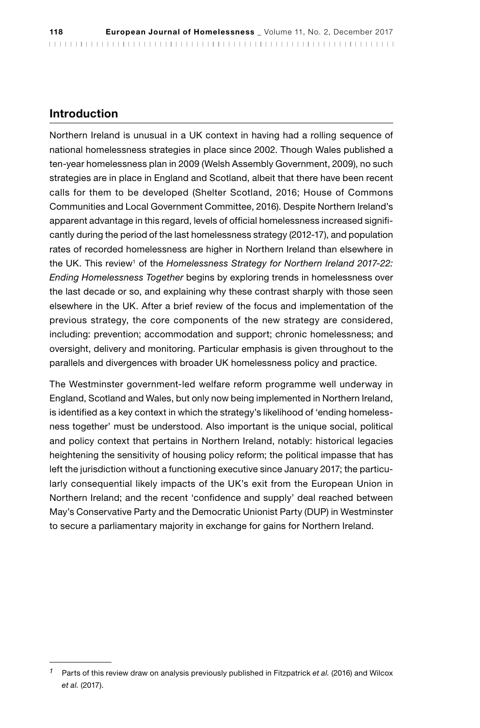#### Introduction

Northern Ireland is unusual in a UK context in having had a rolling sequence of national homelessness strategies in place since 2002. Though Wales published a ten-year homelessness plan in 2009 (Welsh Assembly Government, 2009), no such strategies are in place in England and Scotland, albeit that there have been recent calls for them to be developed (Shelter Scotland, 2016; House of Commons Communities and Local Government Committee, 2016). Despite Northern Ireland's apparent advantage in this regard, levels of official homelessness increased significantly during the period of the last homelessness strategy (2012-17), and population rates of recorded homelessness are higher in Northern Ireland than elsewhere in the UK. This review<sup>1</sup> of the *Homelessness Strategy for Northern Ireland 2017-22: Ending Homelessness Together* begins by exploring trends in homelessness over the last decade or so, and explaining why these contrast sharply with those seen elsewhere in the UK. After a brief review of the focus and implementation of the previous strategy, the core components of the new strategy are considered, including: prevention; accommodation and support; chronic homelessness; and oversight, delivery and monitoring. Particular emphasis is given throughout to the parallels and divergences with broader UK homelessness policy and practice.

The Westminster government-led welfare reform programme well underway in England, Scotland and Wales, but only now being implemented in Northern Ireland, is identified as a key context in which the strategy's likelihood of 'ending homelessness together' must be understood. Also important is the unique social, political and policy context that pertains in Northern Ireland, notably: historical legacies heightening the sensitivity of housing policy reform; the political impasse that has left the jurisdiction without a functioning executive since January 2017; the particularly consequential likely impacts of the UK's exit from the European Union in Northern Ireland; and the recent 'confidence and supply' deal reached between May's Conservative Party and the Democratic Unionist Party (DUP) in Westminster to secure a parliamentary majority in exchange for gains for Northern Ireland.

*<sup>1</sup>* Parts of this review draw on analysis previously published in Fitzpatrick *et al.* (2016) and Wilcox *et al.* (2017).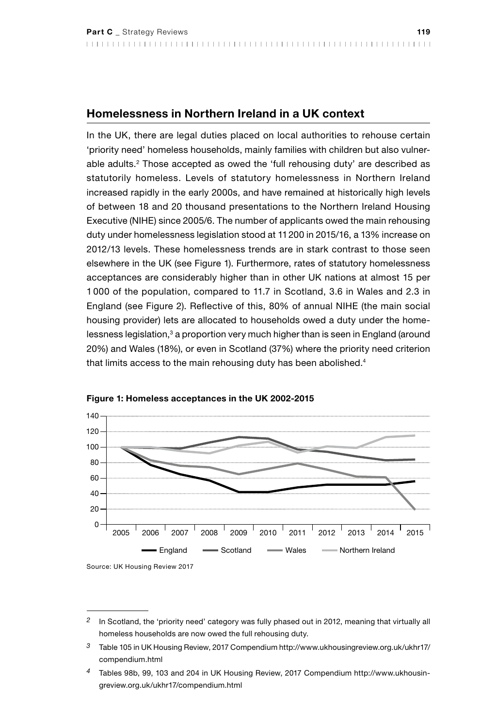#### Homelessness in Northern Ireland in a UK context

In the UK, there are legal duties placed on local authorities to rehouse certain 'priority need' homeless households, mainly families with children but also vulnerable adults.2 Those accepted as owed the 'full rehousing duty' are described as statutorily homeless. Levels of statutory homelessness in Northern Ireland increased rapidly in the early 2000s, and have remained at historically high levels of between 18 and 20 thousand presentations to the Northern Ireland Housing Executive (NIHE) since 2005/6. The number of applicants owed the main rehousing duty under homelessness legislation stood at 11200 in 2015/16, a 13% increase on 2012/13 levels. These homelessness trends are in stark contrast to those seen elsewhere in the UK (see Figure 1). Furthermore, rates of statutory homelessness acceptances are considerably higher than in other UK nations at almost 15 per 1 000 of the population, compared to 11.7 in Scotland, 3.6 in Wales and 2.3 in England (see Figure 2). Reflective of this, 80% of annual NIHE (the main social housing provider) lets are allocated to households owed a duty under the homelessness legislation,<sup>3</sup> a proportion very much higher than is seen in England (around 20%) and Wales (18%), or even in Scotland (37%) where the priority need criterion that limits access to the main rehousing duty has been abolished.<sup>4</sup>





Source: UK Housing Review 2017

*<sup>2</sup>* In Scotland, the 'priority need' category was fully phased out in 2012, meaning that virtually all homeless households are now owed the full rehousing duty.

*<sup>3</sup>* Table 105 in UK Housing Review, 2017 Compendium [http://www.ukhousingreview.org.uk/ukhr17/](http://www.ukhousingreview.org.uk/ukhr17/compendium.html) [compendium.html](http://www.ukhousingreview.org.uk/ukhr17/compendium.html)

*<sup>4</sup>* Tables 98b, 99, 103 and 204 in UK Housing Review, 2017 Compendium [http://www.ukhousin](http://www.ukhousingreview.org.uk/ukhr17/compendium.html)[greview.org.uk/ukhr17/compendium.html](http://www.ukhousingreview.org.uk/ukhr17/compendium.html)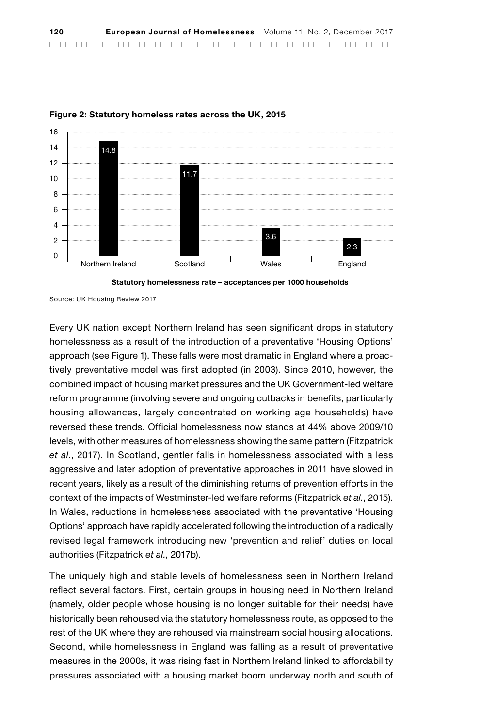

#### Figure 2: Statutory homeless rates across the UK, 2015



Source: UK Housing Review 2017

Every UK nation except Northern Ireland has seen significant drops in statutory homelessness as a result of the introduction of a preventative 'Housing Options' approach (see Figure 1). These falls were most dramatic in England where a proactively preventative model was first adopted (in 2003). Since 2010, however, the combined impact of housing market pressures and the UK Government-led welfare reform programme (involving severe and ongoing cutbacks in benefits, particularly housing allowances, largely concentrated on working age households) have reversed these trends. Official homelessness now stands at 44% above 2009/10 levels, with other measures of homelessness showing the same pattern (Fitzpatrick *et al.*, 2017). In Scotland, gentler falls in homelessness associated with a less aggressive and later adoption of preventative approaches in 2011 have slowed in recent years, likely as a result of the diminishing returns of prevention efforts in the context of the impacts of Westminster-led welfare reforms (Fitzpatrick *et al.*, 2015). In Wales, reductions in homelessness associated with the preventative 'Housing Options' approach have rapidly accelerated following the introduction of a radically revised legal framework introducing new 'prevention and relief' duties on local authorities (Fitzpatrick *et al.*, 2017b).

The uniquely high and stable levels of homelessness seen in Northern Ireland reflect several factors. First, certain groups in housing need in Northern Ireland (namely, older people whose housing is no longer suitable for their needs) have historically been rehoused via the statutory homelessness route, as opposed to the rest of the UK where they are rehoused via mainstream social housing allocations. Second, while homelessness in England was falling as a result of preventative measures in the 2000s, it was rising fast in Northern Ireland linked to affordability pressures associated with a housing market boom underway north and south of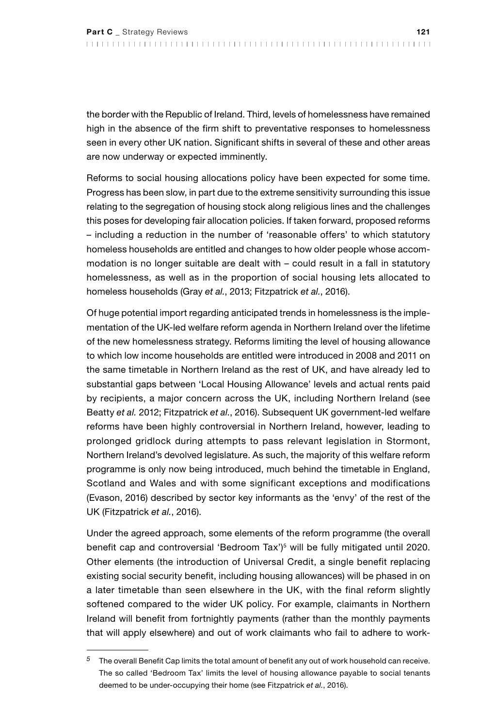the border with the Republic of Ireland. Third, levels of homelessness have remained high in the absence of the firm shift to preventative responses to homelessness seen in every other UK nation. Significant shifts in several of these and other areas are now underway or expected imminently.

Reforms to social housing allocations policy have been expected for some time. Progress has been slow, in part due to the extreme sensitivity surrounding this issue relating to the segregation of housing stock along religious lines and the challenges this poses for developing fair allocation policies. If taken forward, proposed reforms – including a reduction in the number of 'reasonable offers' to which statutory homeless households are entitled and changes to how older people whose accommodation is no longer suitable are dealt with – could result in a fall in statutory homelessness, as well as in the proportion of social housing lets allocated to homeless households (Gray *et al.*, 2013; Fitzpatrick *et al.*, 2016).

Of huge potential import regarding anticipated trends in homelessness is the implementation of the UK-led welfare reform agenda in Northern Ireland over the lifetime of the new homelessness strategy. Reforms limiting the level of housing allowance to which low income households are entitled were introduced in 2008 and 2011 on the same timetable in Northern Ireland as the rest of UK, and have already led to substantial gaps between 'Local Housing Allowance' levels and actual rents paid by recipients, a major concern across the UK, including Northern Ireland (see Beatty *et al.* 2012; Fitzpatrick *et al.*, 2016). Subsequent UK government-led welfare reforms have been highly controversial in Northern Ireland, however, leading to prolonged gridlock during attempts to pass relevant legislation in Stormont, Northern Ireland's devolved legislature. As such, the majority of this welfare reform programme is only now being introduced, much behind the timetable in England, Scotland and Wales and with some significant exceptions and modifications (Evason, 2016) described by sector key informants as the 'envy' of the rest of the UK (Fitzpatrick *et al.*, 2016).

Under the agreed approach, some elements of the reform programme (the overall benefit cap and controversial 'Bedroom Tax')5 will be fully mitigated until 2020. Other elements (the introduction of Universal Credit, a single benefit replacing existing social security benefit, including housing allowances) will be phased in on a later timetable than seen elsewhere in the UK, with the final reform slightly softened compared to the wider UK policy. For example, claimants in Northern Ireland will benefit from fortnightly payments (rather than the monthly payments that will apply elsewhere) and out of work claimants who fail to adhere to work-

*<sup>5</sup>* The overall Benefit Cap limits the total amount of benefit any out of work household can receive. The so called 'Bedroom Tax' limits the level of housing allowance payable to social tenants deemed to be under-occupying their home (see Fitzpatrick *et al.*, 2016).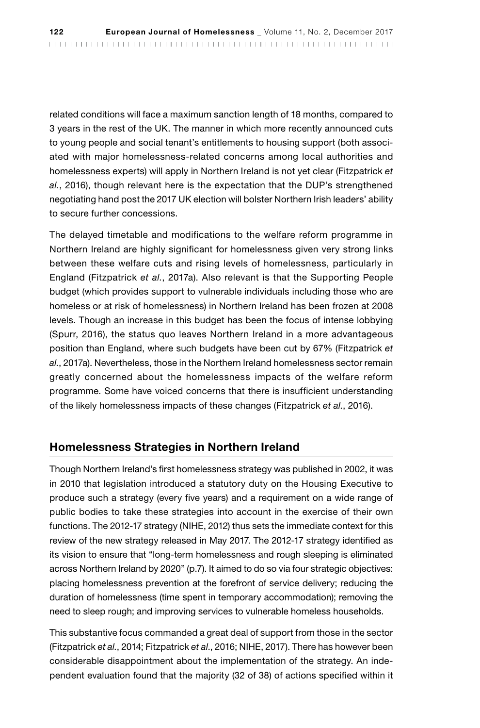related conditions will face a maximum sanction length of 18 months, compared to 3 years in the rest of the UK. The manner in which more recently announced cuts to young people and social tenant's entitlements to housing support (both associated with major homelessness-related concerns among local authorities and homelessness experts) will apply in Northern Ireland is not yet clear (Fitzpatrick *et al.*, 2016), though relevant here is the expectation that the DUP's strengthened negotiating hand post the 2017 UK election will bolster Northern Irish leaders' ability to secure further concessions.

The delayed timetable and modifications to the welfare reform programme in Northern Ireland are highly significant for homelessness given very strong links between these welfare cuts and rising levels of homelessness, particularly in England (Fitzpatrick *et al.*, 2017a). Also relevant is that the Supporting People budget (which provides support to vulnerable individuals including those who are homeless or at risk of homelessness) in Northern Ireland has been frozen at 2008 levels. Though an increase in this budget has been the focus of intense lobbying (Spurr, 2016), the status quo leaves Northern Ireland in a more advantageous position than England, where such budgets have been cut by 67% (Fitzpatrick *et al.*, 2017a). Nevertheless, those in the Northern Ireland homelessness sector remain greatly concerned about the homelessness impacts of the welfare reform programme. Some have voiced concerns that there is insufficient understanding of the likely homelessness impacts of these changes (Fitzpatrick *et al.*, 2016).

#### Homelessness Strategies in Northern Ireland

Though Northern Ireland's first homelessness strategy was published in 2002, it was in 2010 that legislation introduced a statutory duty on the Housing Executive to produce such a strategy (every five years) and a requirement on a wide range of public bodies to take these strategies into account in the exercise of their own functions. The 2012-17 strategy (NIHE, 2012) thus sets the immediate context for this review of the new strategy released in May 2017. The 2012-17 strategy identified as its vision to ensure that "long-term homelessness and rough sleeping is eliminated across Northern Ireland by 2020" (p.7). It aimed to do so via four strategic objectives: placing homelessness prevention at the forefront of service delivery; reducing the duration of homelessness (time spent in temporary accommodation); removing the need to sleep rough; and improving services to vulnerable homeless households.

This substantive focus commanded a great deal of support from those in the sector (Fitzpatrick *et al.*, 2014; Fitzpatrick *et al*., 2016; NIHE, 2017). There has however been considerable disappointment about the implementation of the strategy. An independent evaluation found that the majority (32 of 38) of actions specified within it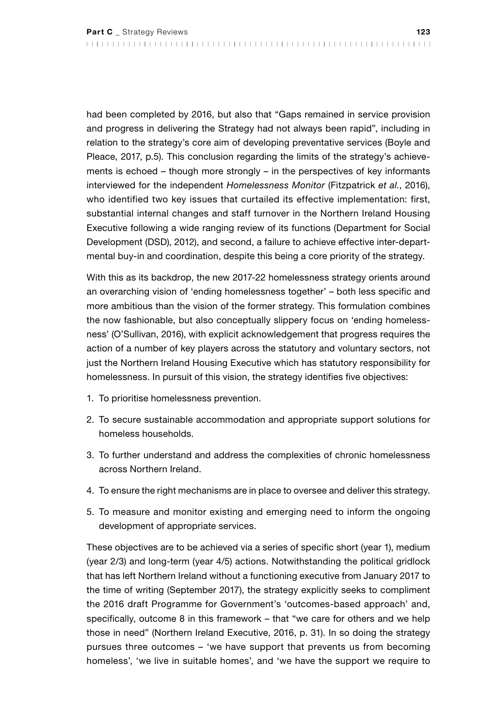had been completed by 2016, but also that "Gaps remained in service provision and progress in delivering the Strategy had not always been rapid", including in relation to the strategy's core aim of developing preventative services (Boyle and Pleace, 2017, p.5). This conclusion regarding the limits of the strategy's achievements is echoed – though more strongly – in the perspectives of key informants interviewed for the independent *Homelessness Monitor* (Fitzpatrick *et al.*, 2016), who identified two key issues that curtailed its effective implementation: first, substantial internal changes and staff turnover in the Northern Ireland Housing Executive following a wide ranging review of its functions (Department for Social Development (DSD), 2012), and second, a failure to achieve effective inter-departmental buy-in and coordination, despite this being a core priority of the strategy.

With this as its backdrop, the new 2017-22 homelessness strategy orients around an overarching vision of 'ending homelessness together' – both less specific and more ambitious than the vision of the former strategy. This formulation combines the now fashionable, but also conceptually slippery focus on 'ending homelessness' (O'Sullivan, 2016), with explicit acknowledgement that progress requires the action of a number of key players across the statutory and voluntary sectors, not just the Northern Ireland Housing Executive which has statutory responsibility for homelessness. In pursuit of this vision, the strategy identifies five objectives:

- 1. To prioritise homelessness prevention.
- 2. To secure sustainable accommodation and appropriate support solutions for homeless households.
- 3. To further understand and address the complexities of chronic homelessness across Northern Ireland.
- 4. To ensure the right mechanisms are in place to oversee and deliver this strategy.
- 5. To measure and monitor existing and emerging need to inform the ongoing development of appropriate services.

These objectives are to be achieved via a series of specific short (year 1), medium (year 2/3) and long-term (year 4/5) actions. Notwithstanding the political gridlock that has left Northern Ireland without a functioning executive from January 2017 to the time of writing (September 2017), the strategy explicitly seeks to compliment the 2016 draft Programme for Government's 'outcomes-based approach' and, specifically, outcome 8 in this framework – that "we care for others and we help those in need" (Northern Ireland Executive, 2016, p. 31). In so doing the strategy pursues three outcomes – 'we have support that prevents us from becoming homeless', 'we live in suitable homes', and 'we have the support we require to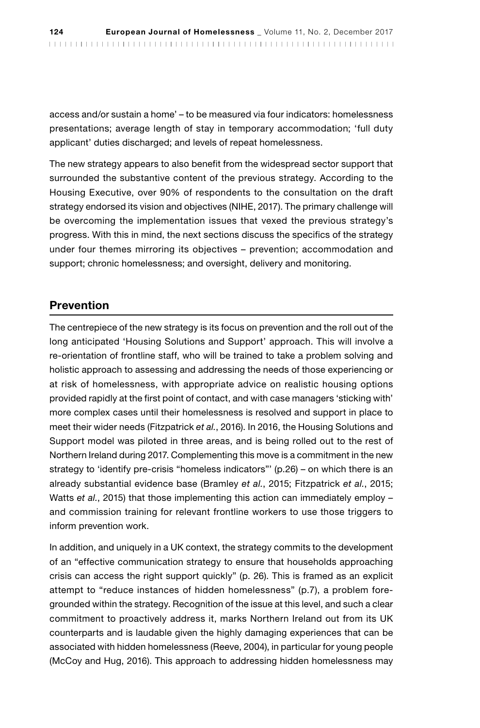access and/or sustain a home' – to be measured via four indicators: homelessness presentations; average length of stay in temporary accommodation; 'full duty applicant' duties discharged; and levels of repeat homelessness.

The new strategy appears to also benefit from the widespread sector support that surrounded the substantive content of the previous strategy. According to the Housing Executive, over 90% of respondents to the consultation on the draft strategy endorsed its vision and objectives (NIHE, 2017). The primary challenge will be overcoming the implementation issues that vexed the previous strategy's progress. With this in mind, the next sections discuss the specifics of the strategy under four themes mirroring its objectives – prevention; accommodation and support; chronic homelessness; and oversight, delivery and monitoring.

#### Prevention

The centrepiece of the new strategy is its focus on prevention and the roll out of the long anticipated 'Housing Solutions and Support' approach. This will involve a re-orientation of frontline staff, who will be trained to take a problem solving and holistic approach to assessing and addressing the needs of those experiencing or at risk of homelessness, with appropriate advice on realistic housing options provided rapidly at the first point of contact, and with case managers 'sticking with' more complex cases until their homelessness is resolved and support in place to meet their wider needs (Fitzpatrick *et al.*, 2016). In 2016, the Housing Solutions and Support model was piloted in three areas, and is being rolled out to the rest of Northern Ireland during 2017. Complementing this move is a commitment in the new strategy to 'identify pre-crisis "homeless indicators"' (p.26) – on which there is an already substantial evidence base (Bramley *et al.*, 2015; Fitzpatrick *et al.*, 2015; Watts *et al.*, 2015) that those implementing this action can immediately employ – and commission training for relevant frontline workers to use those triggers to inform prevention work.

In addition, and uniquely in a UK context, the strategy commits to the development of an "effective communication strategy to ensure that households approaching crisis can access the right support quickly" (p. 26). This is framed as an explicit attempt to "reduce instances of hidden homelessness" (p.7), a problem foregrounded within the strategy. Recognition of the issue at this level, and such a clear commitment to proactively address it, marks Northern Ireland out from its UK counterparts and is laudable given the highly damaging experiences that can be associated with hidden homelessness (Reeve, 2004), in particular for young people (McCoy and Hug, 2016). This approach to addressing hidden homelessness may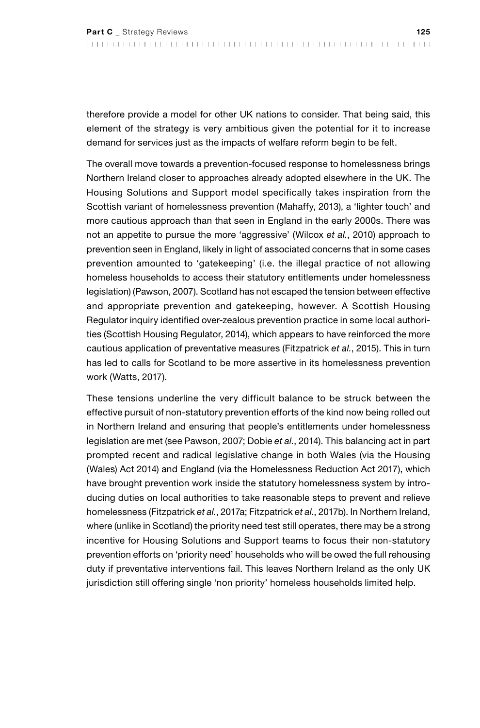therefore provide a model for other UK nations to consider. That being said, this element of the strategy is very ambitious given the potential for it to increase demand for services just as the impacts of welfare reform begin to be felt.

The overall move towards a prevention-focused response to homelessness brings Northern Ireland closer to approaches already adopted elsewhere in the UK. The Housing Solutions and Support model specifically takes inspiration from the Scottish variant of homelessness prevention (Mahaffy, 2013), a 'lighter touch' and more cautious approach than that seen in England in the early 2000s. There was not an appetite to pursue the more 'aggressive' (Wilcox *et al.*, 2010) approach to prevention seen in England, likely in light of associated concerns that in some cases prevention amounted to 'gatekeeping' (i.e. the illegal practice of not allowing homeless households to access their statutory entitlements under homelessness legislation) (Pawson, 2007). Scotland has not escaped the tension between effective and appropriate prevention and gatekeeping, however. A Scottish Housing Regulator inquiry identified over-zealous prevention practice in some local authorities (Scottish Housing Regulator, 2014), which appears to have reinforced the more cautious application of preventative measures (Fitzpatrick *et al.*, 2015). This in turn has led to calls for Scotland to be more assertive in its homelessness prevention work (Watts, 2017).

These tensions underline the very difficult balance to be struck between the effective pursuit of non-statutory prevention efforts of the kind now being rolled out in Northern Ireland and ensuring that people's entitlements under homelessness legislation are met (see Pawson, 2007; Dobie *et al.*, 2014). This balancing act in part prompted recent and radical legislative change in both Wales (via the Housing (Wales) Act 2014) and England (via the Homelessness Reduction Act 2017), which have brought prevention work inside the statutory homelessness system by introducing duties on local authorities to take reasonable steps to prevent and relieve homelessness (Fitzpatrick *et al.*, 2017a; Fitzpatrick *et al*., 2017b). In Northern Ireland, where (unlike in Scotland) the priority need test still operates, there may be a strong incentive for Housing Solutions and Support teams to focus their non-statutory prevention efforts on 'priority need' households who will be owed the full rehousing duty if preventative interventions fail. This leaves Northern Ireland as the only UK jurisdiction still offering single 'non priority' homeless households limited help.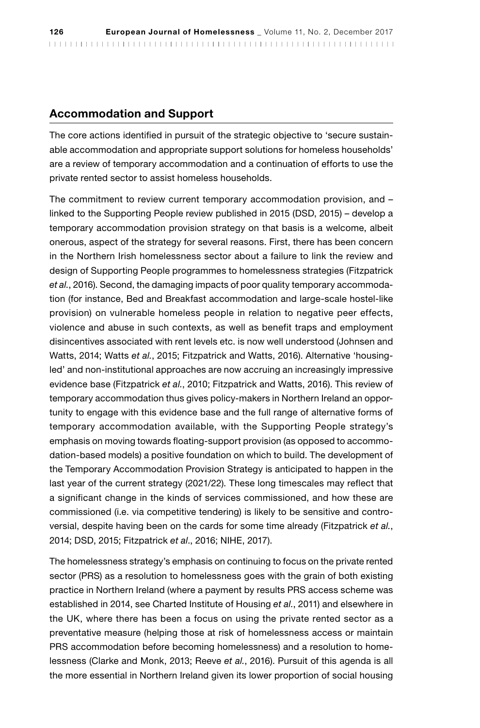#### Accommodation and Support

The core actions identified in pursuit of the strategic objective to 'secure sustainable accommodation and appropriate support solutions for homeless households' are a review of temporary accommodation and a continuation of efforts to use the private rented sector to assist homeless households.

The commitment to review current temporary accommodation provision, and – linked to the Supporting People review published in 2015 (DSD, 2015) – develop a temporary accommodation provision strategy on that basis is a welcome, albeit onerous, aspect of the strategy for several reasons. First, there has been concern in the Northern Irish homelessness sector about a failure to link the review and design of Supporting People programmes to homelessness strategies (Fitzpatrick *et al.*, 2016). Second, the damaging impacts of poor quality temporary accommodation (for instance, Bed and Breakfast accommodation and large-scale hostel-like provision) on vulnerable homeless people in relation to negative peer effects, violence and abuse in such contexts, as well as benefit traps and employment disincentives associated with rent levels etc. is now well understood (Johnsen and Watts, 2014; Watts *et al.*, 2015; Fitzpatrick and Watts, 2016). Alternative 'housingled' and non-institutional approaches are now accruing an increasingly impressive evidence base (Fitzpatrick *et al.*, 2010; Fitzpatrick and Watts, 2016). This review of temporary accommodation thus gives policy-makers in Northern Ireland an opportunity to engage with this evidence base and the full range of alternative forms of temporary accommodation available, with the Supporting People strategy's emphasis on moving towards floating-support provision (as opposed to accommodation-based models) a positive foundation on which to build. The development of the Temporary Accommodation Provision Strategy is anticipated to happen in the last year of the current strategy (2021/22). These long timescales may reflect that a significant change in the kinds of services commissioned, and how these are commissioned (i.e. via competitive tendering) is likely to be sensitive and controversial, despite having been on the cards for some time already (Fitzpatrick *et al.*, 2014; DSD, 2015; Fitzpatrick *et al*., 2016; NIHE, 2017).

The homelessness strategy's emphasis on continuing to focus on the private rented sector (PRS) as a resolution to homelessness goes with the grain of both existing practice in Northern Ireland (where a payment by results PRS access scheme was established in 2014, see Charted Institute of Housing *et al.*, 2011) and elsewhere in the UK, where there has been a focus on using the private rented sector as a preventative measure (helping those at risk of homelessness access or maintain PRS accommodation before becoming homelessness) and a resolution to homelessness (Clarke and Monk, 2013; Reeve *et al.*, 2016). Pursuit of this agenda is all the more essential in Northern Ireland given its lower proportion of social housing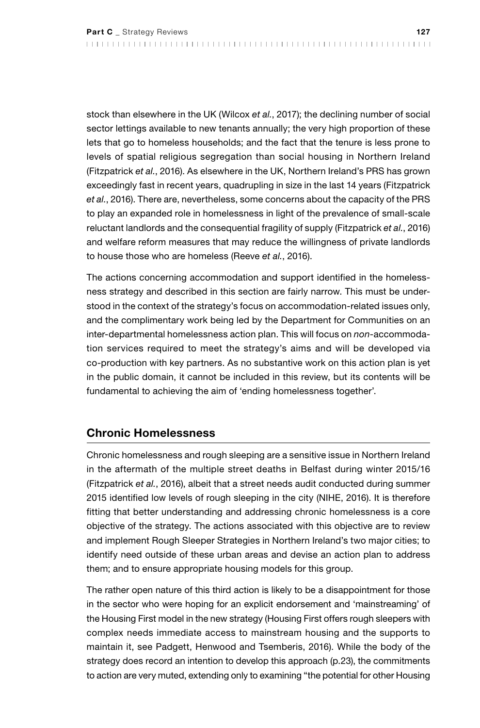stock than elsewhere in the UK (Wilcox *et al.*, 2017); the declining number of social sector lettings available to new tenants annually; the very high proportion of these lets that go to homeless households; and the fact that the tenure is less prone to levels of spatial religious segregation than social housing in Northern Ireland (Fitzpatrick *et al.*, 2016). As elsewhere in the UK, Northern Ireland's PRS has grown exceedingly fast in recent years, quadrupling in size in the last 14 years (Fitzpatrick *et al.*, 2016). There are, nevertheless, some concerns about the capacity of the PRS to play an expanded role in homelessness in light of the prevalence of small-scale reluctant landlords and the consequential fragility of supply (Fitzpatrick *et al.*, 2016) and welfare reform measures that may reduce the willingness of private landlords to house those who are homeless (Reeve *et al.*, 2016).

The actions concerning accommodation and support identified in the homelessness strategy and described in this section are fairly narrow. This must be understood in the context of the strategy's focus on accommodation-related issues only, and the complimentary work being led by the Department for Communities on an inter-departmental homelessness action plan. This will focus on *non*-accommodation services required to meet the strategy's aims and will be developed via co-production with key partners. As no substantive work on this action plan is yet in the public domain, it cannot be included in this review, but its contents will be fundamental to achieving the aim of 'ending homelessness together'.

#### Chronic Homelessness

Chronic homelessness and rough sleeping are a sensitive issue in Northern Ireland in the aftermath of the multiple street deaths in Belfast during winter 2015/16 (Fitzpatrick *et al.*, 2016), albeit that a street needs audit conducted during summer 2015 identified low levels of rough sleeping in the city (NIHE, 2016). It is therefore fitting that better understanding and addressing chronic homelessness is a core objective of the strategy. The actions associated with this objective are to review and implement Rough Sleeper Strategies in Northern Ireland's two major cities; to identify need outside of these urban areas and devise an action plan to address them; and to ensure appropriate housing models for this group.

The rather open nature of this third action is likely to be a disappointment for those in the sector who were hoping for an explicit endorsement and 'mainstreaming' of the Housing First model in the new strategy (Housing First offers rough sleepers with complex needs immediate access to mainstream housing and the supports to maintain it, see Padgett, Henwood and Tsemberis, 2016). While the body of the strategy does record an intention to develop this approach (p.23), the commitments to action are very muted, extending only to examining "the potential for other Housing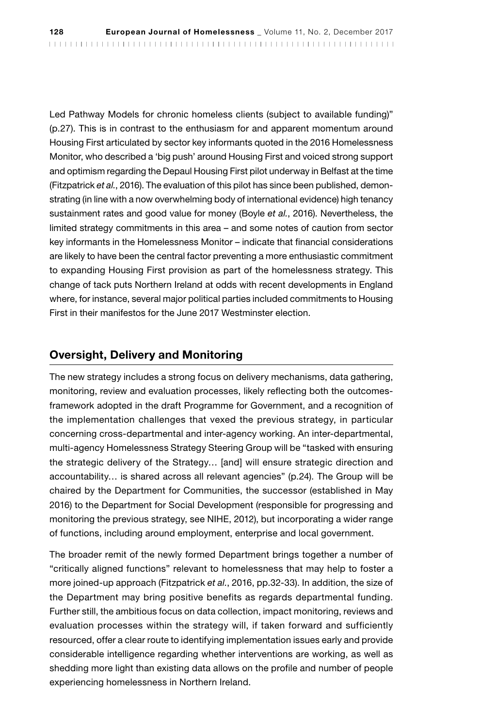Led Pathway Models for chronic homeless clients (subject to available funding)" (p.27). This is in contrast to the enthusiasm for and apparent momentum around Housing First articulated by sector key informants quoted in the 2016 Homelessness Monitor, who described a 'big push' around Housing First and voiced strong support and optimism regarding the Depaul Housing First pilot underway in Belfast at the time (Fitzpatrick *et al.*, 2016). The evaluation of this pilot has since been published, demonstrating (in line with a now overwhelming body of international evidence) high tenancy sustainment rates and good value for money (Boyle *et al.*, 2016). Nevertheless, the limited strategy commitments in this area – and some notes of caution from sector key informants in the Homelessness Monitor – indicate that financial considerations are likely to have been the central factor preventing a more enthusiastic commitment to expanding Housing First provision as part of the homelessness strategy. This change of tack puts Northern Ireland at odds with recent developments in England where, for instance, several major political parties included commitments to Housing First in their manifestos for the June 2017 Westminster election.

### Oversight, Delivery and Monitoring

The new strategy includes a strong focus on delivery mechanisms, data gathering, monitoring, review and evaluation processes, likely reflecting both the outcomesframework adopted in the draft Programme for Government, and a recognition of the implementation challenges that vexed the previous strategy, in particular concerning cross-departmental and inter-agency working. An inter-departmental, multi-agency Homelessness Strategy Steering Group will be "tasked with ensuring the strategic delivery of the Strategy… [and] will ensure strategic direction and accountability… is shared across all relevant agencies" (p.24). The Group will be chaired by the Department for Communities, the successor (established in May 2016) to the Department for Social Development (responsible for progressing and monitoring the previous strategy, see NIHE, 2012), but incorporating a wider range of functions, including around employment, enterprise and local government.

The broader remit of the newly formed Department brings together a number of "critically aligned functions" relevant to homelessness that may help to foster a more joined-up approach (Fitzpatrick *et al.*, 2016, pp.32-33). In addition, the size of the Department may bring positive benefits as regards departmental funding. Further still, the ambitious focus on data collection, impact monitoring, reviews and evaluation processes within the strategy will, if taken forward and sufficiently resourced, offer a clear route to identifying implementation issues early and provide considerable intelligence regarding whether interventions are working, as well as shedding more light than existing data allows on the profile and number of people experiencing homelessness in Northern Ireland.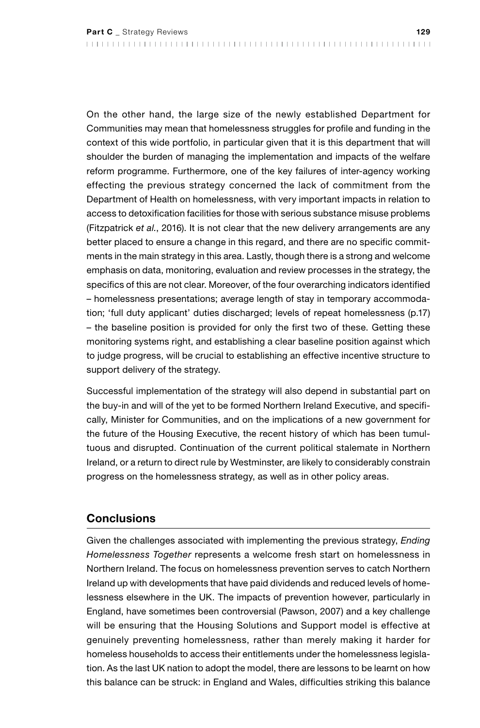On the other hand, the large size of the newly established Department for Communities may mean that homelessness struggles for profile and funding in the context of this wide portfolio, in particular given that it is this department that will shoulder the burden of managing the implementation and impacts of the welfare reform programme. Furthermore, one of the key failures of inter-agency working effecting the previous strategy concerned the lack of commitment from the Department of Health on homelessness, with very important impacts in relation to access to detoxification facilities for those with serious substance misuse problems (Fitzpatrick *et al.*, 2016). It is not clear that the new delivery arrangements are any better placed to ensure a change in this regard, and there are no specific commitments in the main strategy in this area. Lastly, though there is a strong and welcome emphasis on data, monitoring, evaluation and review processes in the strategy, the specifics of this are not clear. Moreover, of the four overarching indicators identified – homelessness presentations; average length of stay in temporary accommodation; 'full duty applicant' duties discharged; levels of repeat homelessness (p.17) – the baseline position is provided for only the first two of these. Getting these monitoring systems right, and establishing a clear baseline position against which to judge progress, will be crucial to establishing an effective incentive structure to support delivery of the strategy.

Successful implementation of the strategy will also depend in substantial part on the buy-in and will of the yet to be formed Northern Ireland Executive, and specifically, Minister for Communities, and on the implications of a new government for the future of the Housing Executive, the recent history of which has been tumultuous and disrupted. Continuation of the current political stalemate in Northern Ireland, or a return to direct rule by Westminster, are likely to considerably constrain progress on the homelessness strategy, as well as in other policy areas.

#### **Conclusions**

Given the challenges associated with implementing the previous strategy, *Ending Homelessness Together* represents a welcome fresh start on homelessness in Northern Ireland. The focus on homelessness prevention serves to catch Northern Ireland up with developments that have paid dividends and reduced levels of homelessness elsewhere in the UK. The impacts of prevention however, particularly in England, have sometimes been controversial (Pawson, 2007) and a key challenge will be ensuring that the Housing Solutions and Support model is effective at genuinely preventing homelessness, rather than merely making it harder for homeless households to access their entitlements under the homelessness legislation. As the last UK nation to adopt the model, there are lessons to be learnt on how this balance can be struck: in England and Wales, difficulties striking this balance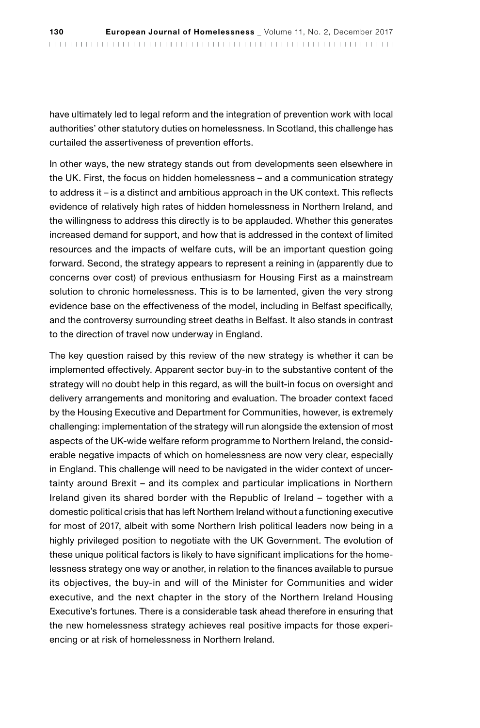have ultimately led to legal reform and the integration of prevention work with local authorities' other statutory duties on homelessness. In Scotland, this challenge has curtailed the assertiveness of prevention efforts.

In other ways, the new strategy stands out from developments seen elsewhere in the UK. First, the focus on hidden homelessness – and a communication strategy to address it – is a distinct and ambitious approach in the UK context. This reflects evidence of relatively high rates of hidden homelessness in Northern Ireland, and the willingness to address this directly is to be applauded. Whether this generates increased demand for support, and how that is addressed in the context of limited resources and the impacts of welfare cuts, will be an important question going forward. Second, the strategy appears to represent a reining in (apparently due to concerns over cost) of previous enthusiasm for Housing First as a mainstream solution to chronic homelessness. This is to be lamented, given the very strong evidence base on the effectiveness of the model, including in Belfast specifically, and the controversy surrounding street deaths in Belfast. It also stands in contrast to the direction of travel now underway in England.

The key question raised by this review of the new strategy is whether it can be implemented effectively. Apparent sector buy-in to the substantive content of the strategy will no doubt help in this regard, as will the built-in focus on oversight and delivery arrangements and monitoring and evaluation. The broader context faced by the Housing Executive and Department for Communities, however, is extremely challenging: implementation of the strategy will run alongside the extension of most aspects of the UK-wide welfare reform programme to Northern Ireland, the considerable negative impacts of which on homelessness are now very clear, especially in England. This challenge will need to be navigated in the wider context of uncertainty around Brexit – and its complex and particular implications in Northern Ireland given its shared border with the Republic of Ireland – together with a domestic political crisis that has left Northern Ireland without a functioning executive for most of 2017, albeit with some Northern Irish political leaders now being in a highly privileged position to negotiate with the UK Government. The evolution of these unique political factors is likely to have significant implications for the homelessness strategy one way or another, in relation to the finances available to pursue its objectives, the buy-in and will of the Minister for Communities and wider executive, and the next chapter in the story of the Northern Ireland Housing Executive's fortunes. There is a considerable task ahead therefore in ensuring that the new homelessness strategy achieves real positive impacts for those experiencing or at risk of homelessness in Northern Ireland.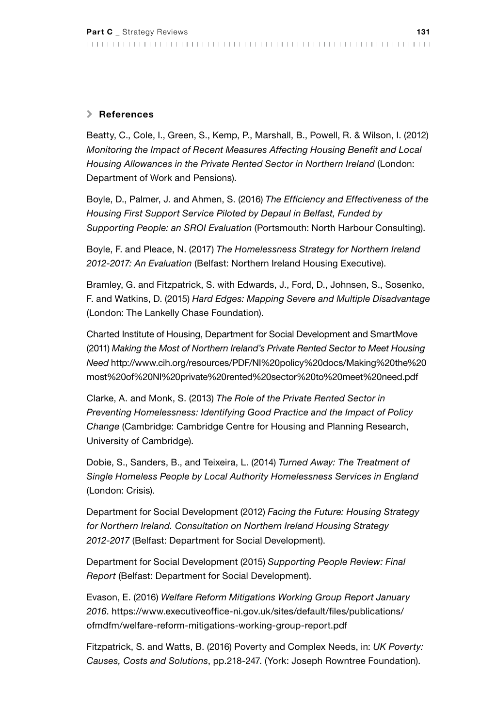#### \ References

Beatty, C., Cole, I., Green, S., Kemp, P., Marshall, B., Powell, R. & Wilson, I. (2012) *Monitoring the Impact of Recent Measures Affecting Housing Benefit and Local Housing Allowances in the Private Rented Sector in Northern Ireland* (London: Department of Work and Pensions).

Boyle, D., Palmer, J. and Ahmen, S. (2016) *The Efficiency and Effectiveness of the Housing First Support Service Piloted by Depaul in Belfast, Funded by Supporting People: an SROI Evaluation* (Portsmouth: North Harbour Consulting).

Boyle, F. and Pleace, N. (2017) *The Homelessness Strategy for Northern Ireland 2012-2017: An Evaluation* (Belfast: Northern Ireland Housing Executive).

Bramley, G. and Fitzpatrick, S. with Edwards, J., Ford, D., Johnsen, S., Sosenko, F. and Watkins, D. (2015) *Hard Edges: Mapping Severe and Multiple Disadvantage* (London: The Lankelly Chase Foundation).

Charted Institute of Housing, Department for Social Development and SmartMove (2011) *Making the Most of Northern Ireland's Private Rented Sector to Meet Housing Need* [http://www.cih.org/resources/PDF/NI%20policy%20docs/Making%20the%20](http://www.cih.org/resources/PDF/NI%20policy%20docs/Making%20the%20most%20of%20NI%20private%20rented%20sector%20to%20meet%20need.pdf) [most%20of%20NI%20private%20rented%20sector%20to%20meet%20need.pdf](http://www.cih.org/resources/PDF/NI%20policy%20docs/Making%20the%20most%20of%20NI%20private%20rented%20sector%20to%20meet%20need.pdf)

Clarke, A. and Monk, S. (2013) *The Role of the Private Rented Sector in Preventing Homelessness: Identifying Good Practice and the Impact of Policy Change* (Cambridge: Cambridge Centre for Housing and Planning Research, University of Cambridge).

Dobie, S., Sanders, B., and Teixeira, L. (2014) *Turned Away: The Treatment of Single Homeless People by Local Authority Homelessness Services in England* (London: Crisis).

Department for Social Development (2012) *Facing the Future: Housing Strategy for Northern Ireland. Consultation on Northern Ireland Housing Strategy 2012-2017* (Belfast: Department for Social Development).

Department for Social Development (2015) *Supporting People Review: Final Report* (Belfast: Department for Social Development).

Evason, E. (2016) *Welfare Reform Mitigations Working Group Report January 2016*. [https://www.executiveoffice-ni.gov.uk/sites/default/files/publications/](https://www.executiveoffice-ni.gov.uk/sites/default/files/publications/ofmdfm/welfare-reform-mitigations-working-group-report.pdf) [ofmdfm/welfare-reform-mitigations-working-group-report.pdf](https://www.executiveoffice-ni.gov.uk/sites/default/files/publications/ofmdfm/welfare-reform-mitigations-working-group-report.pdf)

Fitzpatrick, S. and Watts, B. (2016) Poverty and Complex Needs, in: *UK Poverty: Causes, Costs and Solutions*, pp.218-247. (York: Joseph Rowntree Foundation).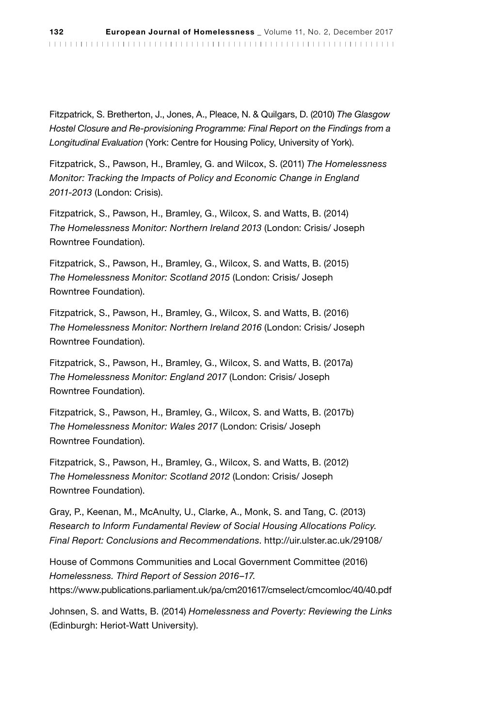Fitzpatrick, S. Bretherton, J., Jones, A., Pleace, N. & Quilgars, D. (2010) *The Glasgow Hostel Closure and Re-provisioning Programme: Final Report on the Findings from a Longitudinal Evaluation* (York: Centre for Housing Policy, University of York).

Fitzpatrick, S., Pawson, H., Bramley, G. and Wilcox, S. (2011) *The Homelessness Monitor: Tracking the Impacts of Policy and Economic Change in England 2011-2013* (London: Crisis).

Fitzpatrick, S., Pawson, H., Bramley, G., Wilcox, S. and Watts, B. (2014) *The Homelessness Monitor: Northern Ireland 2013* (London: Crisis/ Joseph Rowntree Foundation).

Fitzpatrick, S., Pawson, H., Bramley, G., Wilcox, S. and Watts, B. (2015) *The Homelessness Monitor: Scotland 2015* (London: Crisis/ Joseph Rowntree Foundation).

Fitzpatrick, S., Pawson, H., Bramley, G., Wilcox, S. and Watts, B. (2016) *The Homelessness Monitor: Northern Ireland 2016* (London: Crisis/ Joseph Rowntree Foundation).

Fitzpatrick, S., Pawson, H., Bramley, G., Wilcox, S. and Watts, B. (2017a) *The Homelessness Monitor: England 2017* (London: Crisis/ Joseph Rowntree Foundation).

Fitzpatrick, S., Pawson, H., Bramley, G., Wilcox, S. and Watts, B. (2017b) *The Homelessness Monitor: Wales 2017* (London: Crisis/ Joseph Rowntree Foundation).

Fitzpatrick, S., Pawson, H., Bramley, G., Wilcox, S. and Watts, B. (2012) *The Homelessness Monitor: Scotland 2012* (London: Crisis/ Joseph Rowntree Foundation).

Gray, P., Keenan, M., McAnulty, U., Clarke, A., Monk, S. and Tang, C. (2013) *Research to Inform Fundamental Review of Social Housing Allocations Policy. Final Report: Conclusions and Recommendations*.<http://uir.ulster.ac.uk/29108/>

House of Commons Communities and Local Government Committee (2016) *Homelessness. Third Report of Session 2016–17*. <https://www.publications.parliament.uk/pa/cm201617/cmselect/cmcomloc/40/40.pdf>

Johnsen, S. and Watts, B. (2014) *Homelessness and Poverty: Reviewing the Links*  (Edinburgh: Heriot-Watt University).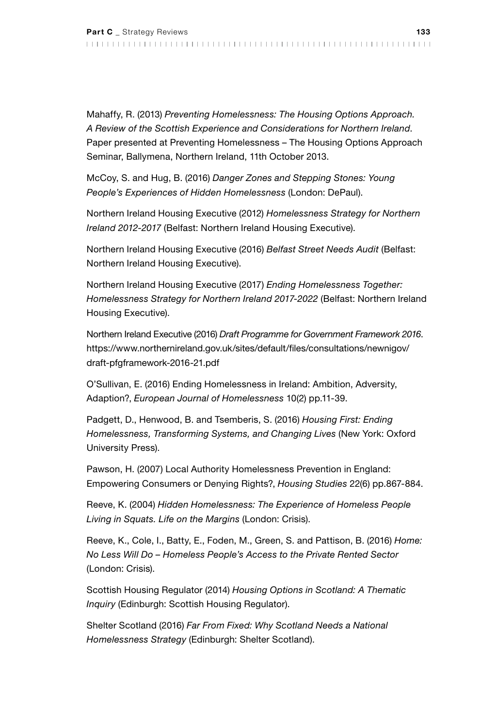Mahaffy, R. (2013) *Preventing Homelessness: The Housing Options Approach. A Review of the Scottish Experience and Considerations for Northern Ireland*. Paper presented at Preventing Homelessness – The Housing Options Approach Seminar, Ballymena, Northern Ireland, 11th October 2013.

McCoy, S. and Hug, B. (2016) *Danger Zones and Stepping Stones: Young People's Experiences of Hidden Homelessness* (London: DePaul).

Northern Ireland Housing Executive (2012) *Homelessness Strategy for Northern Ireland 2012-2017* (Belfast: Northern Ireland Housing Executive).

Northern Ireland Housing Executive (2016) *Belfast Street Needs Audit* (Belfast: Northern Ireland Housing Executive).

Northern Ireland Housing Executive (2017) *Ending Homelessness Together: Homelessness Strategy for Northern Ireland 2017-2022* (Belfast: Northern Ireland Housing Executive).

Northern Ireland Executive (2016) *Draft Programme for Government Framework 2016*. [https://www.northernireland.gov.uk/sites/default/files/consultations/newnigov/](https://www.northernireland.gov.uk/sites/default/files/consultations/newnigov/draft-pfgframework-2016-21.pdf) [draft-pfgframework-2016-21.pdf](https://www.northernireland.gov.uk/sites/default/files/consultations/newnigov/draft-pfgframework-2016-21.pdf)

O'Sullivan, E. (2016) Ending Homelessness in Ireland: Ambition, Adversity, Adaption?, *European Journal of Homelessness* 10(2) pp.11-39.

Padgett, D., Henwood, B. and Tsemberis, S. (2016) *Housing First: Ending Homelessness, Transforming Systems, and Changing Lives* (New York: Oxford University Press).

Pawson, H. (2007) Local Authority Homelessness Prevention in England: Empowering Consumers or Denying Rights?, *Housing Studies* 22(6) pp.867-884.

Reeve, K. (2004) *Hidden Homelessness: The Experience of Homeless People Living in Squats. Life on the Margins* (London: Crisis).

Reeve, K., Cole, I., Batty, E., Foden, M., Green, S. and Pattison, B. (2016) *Home: No Less Will Do – Homeless People's Access to the Private Rented Sector* (London: Crisis).

Scottish Housing Regulator (2014) *Housing Options in Scotland: A Thematic Inquiry* (Edinburgh: Scottish Housing Regulator).

Shelter Scotland (2016) *Far From Fixed: Why Scotland Needs a National Homelessness Strategy* (Edinburgh: Shelter Scotland).